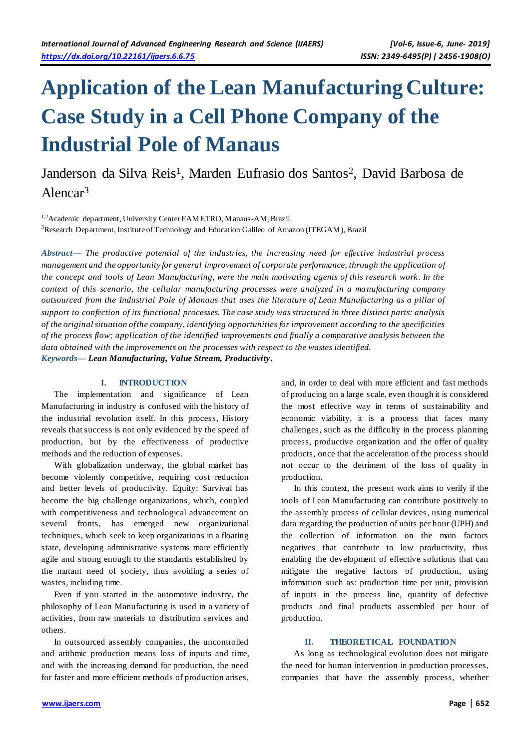# **Application of the Lean Manufacturing Culture: Case Study in a Cell Phone Company of the Industrial Pole of Manaus**

# Janderson da Silva Reis<sup>1</sup>, Marden Eufrasio dos Santos<sup>2</sup>, David Barbosa de Alencar<sup>3</sup>

<sup>1,2</sup>Academic department, University Center FAMETRO, Manaus-AM, Brazil <sup>3</sup>Research Department, Institute of Technology and Education Galileo of Amazon (ITEGAM), Brazil

*Abstract***—** *The productive potential of the industries, the increasing need for effective industrial process management and the opportunity for general improvement of corporate performance, through the application of the concept and tools of Lean Manufacturing, were the main motivating agents of this research work. In the context of this scenario, the cellular manufacturing processes were analyzed in a ma nufacturing company outsourced from the Industrial Pole of Manaus that uses the literature of Lean Manufacturing as a pillar of support to confection of its functional processes. The case study was structured in three distinct parts: analysis of the original situation of the company, identifying opportunities for improvement according to the specificities of the process flow; application of the identified improvements and finally a comparative analysis between the data obtained with the improvements on the processes with respect to the wastes identified. Keywords***—** *Lean Manufacturing, Value Stream, Productivity.*

# **I. INTRODUCTION**

The implementation and significance of Lean Manufacturing in industry is confused with the history of the industrial revolution itself. In this process, History reveals that success is not only evidenced by the speed of production, but by the effectiveness of productive methods and the reduction of expenses.

With globalization underway, the global market has become violently competitive, requiring cost reduction and better levels of productivity. Equity: Survival has become the big challenge organizations, which, coupled with competitiveness and technological advancement on several fronts, has emerged new organizational techniques, which seek to keep organizations in a floating state, developing administrative systems more efficiently agile and strong enough to the standards established by the mutant need of society, thus avoiding a series of wastes, including time.

Even if you started in the automotive industry, the philosophy of Lean Manufacturing is used in a variety of activities, from raw materials to distribution services and others.

In outsourced assembly companies, the uncontrolled and arithmic production means loss of inputs and time, and with the increasing demand for production, the need for faster and more efficient methods of production arises, and, in order to deal with more efficient and fast methods of producing on a large scale, even though it is considered the most effective way in terms of sustainability and economic viability, it is a process that faces many challenges, such as the difficulty in the process planning process, productive organization and the offer of quality products, once that the acceleration of the process should not occur to the detriment of the loss of quality in production.

In this context, the present work aims to verify if the tools of Lean Manufacturing can contribute positively to the assembly process of cellular devices, using numerical data regarding the production of units per hour (UPH) and the collection of information on the main factors negatives that contribute to low productivity, thus enabling the development of effective solutions that can mitigate the negative factors of production, using information such as: production time per unit, provision of inputs in the process line, quantity of defective products and final products assembled per hour of production.

# **II. THEORETICAL FOUNDATION**

As long as technological evolution does not mitigate the need for human intervention in production processes, companies that have the assembly process, whether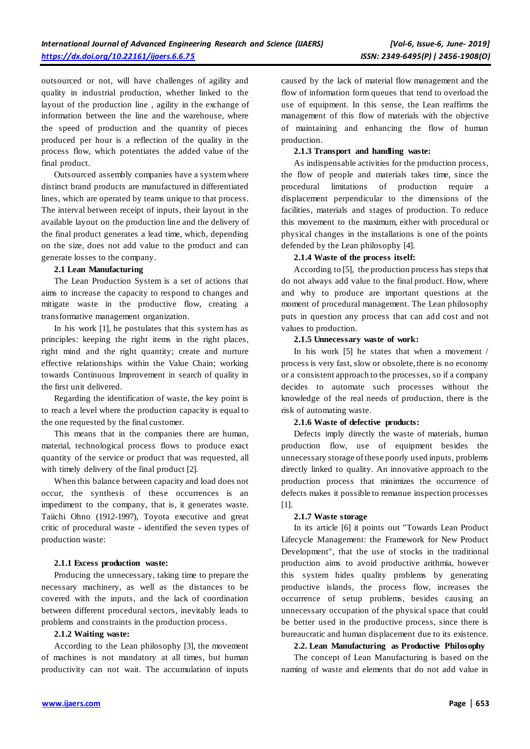outsourced or not, will have challenges of agility and quality in industrial production, whether linked to the layout of the production line , agility in the exchange of information between the line and the warehouse, where the speed of production and the quantity of pieces produced per hour is a reflection of the quality in the process flow, which potentiates the added value of the final product.

Outsourced assembly companies have a system where distinct brand products are manufactured in differentiated lines, which are operated by teams unique to that process. The interval between receipt of inputs, their layout in the available layout on the production line and the delivery of the final product generates a lead time, which, depending on the size, does not add value to the product and can generate losses to the company.

#### **2.1 Lean Manufacturing**

The Lean Production System is a set of actions that aims to increase the capacity to respond to changes and mitigate waste in the productive flow, creating a transformative management organization.

In his work [1], he postulates that this system has as principles: keeping the right items in the right places, right mind and the right quantity; create and nurture effective relationships within the Value Chain; working towards Continuous Improvement in search of quality in the first unit delivered.

Regarding the identification of waste, the key point is to reach a level where the production capacity is equal to the one requested by the final customer.

This means that in the companies there are human, material, technological process flows to produce exact quantity of the service or product that was requested, all with timely delivery of the final product [2].

When this balance between capacity and load does not occur, the synthesis of these occurrences is an impediment to the company, that is, it generates waste. Taiichi Ohno (1912-1997), Toyota executive and great critic of procedural waste - identified the seven types of production waste:

# **2.1.1 Excess production waste:**

Producing the unnecessary, taking time to prepare the necessary machinery, as well as the distances to be covered with the inputs, and the lack of coordination between different procedural sectors, inevitably leads to problems and constraints in the production process.

#### **2.1.2 Waiting waste:**

According to the Lean philosophy [3], the movement of machines is not mandatory at all times, but human productivity can not wait. The accumulation of inputs

caused by the lack of material flow management and the flow of information form queues that tend to overload the use of equipment. In this sense, the Lean reaffirms the management of this flow of materials with the objective of maintaining and enhancing the flow of human production.

# **2.1.3 Transport and handling waste:**

As indispensable activities for the production process, the flow of people and materials takes time, since the procedural limitations of production require a displacement perpendicular to the dimensions of the facilities, materials and stages of production. To reduce this movement to the maximum, either with procedural or physical changes in the installations is one of the points defended by the Lean philosophy [4].

# **2.1.4 Waste of the process itself:**

According to [5], the production process has steps that do not always add value to the final product. How, where and why to produce are important questions at the moment of procedural management. The Lean philosophy puts in question any process that can add cost and not values to production.

### **2.1.5 Unnecessary waste of work:**

In his work [5] he states that when a movement / process is very fast, slow or obsolete, there is no economy or a consistent approach to the processes, so if a company decides to automate such processes without the knowledge of the real needs of production, there is the risk of automating waste.

# **2.1.6 Waste of defective products:**

Defects imply directly the waste of materials, human production flow, use of equipment besides the unnecessary storage of these poorly used inputs, problems directly linked to quality. An innovative approach to the production process that minimizes the occurrence of defects makes it possible to remanue inspection processes [1].

# **2.1.7 Waste storage**

In its article [6] it points out "Towards Lean Product Lifecycle Management: the Framework for New Product Development", that the use of stocks in the traditional production aims to avoid productive arithmia, however this system hides quality problems by generating productive islands, the process flow, increases the occurrence of setup problems, besides causing an unnecessary occupation of the physical space that could be better used in the productive process, since there is bureaucratic and human displacement due to its existence.

# **2.2. Lean Manufacturing as Productive Philosophy**

The concept of Lean Manufacturing is based on the naming of waste and elements that do not add value in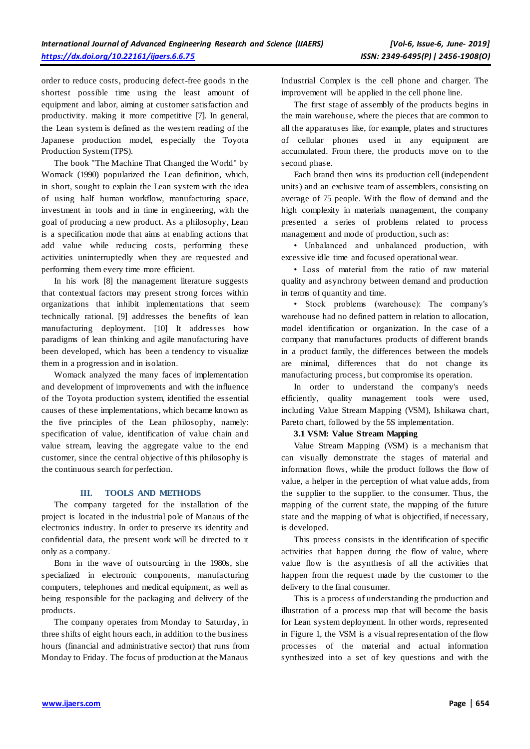order to reduce costs, producing defect-free goods in the shortest possible time using the least amount of equipment and labor, aiming at customer satisfaction and productivity. making it more competitive [7]. In general, the Lean system is defined as the western reading of the Japanese production model, especially the Toyota Production System (TPS).

The book "The Machine That Changed the World" by Womack (1990) popularized the Lean definition, which, in short, sought to explain the Lean system with the idea of using half human workflow, manufacturing space, investment in tools and in time in engineering, with the goal of producing a new product. As a philosophy, Lean is a specification mode that aims at enabling actions that add value while reducing costs, performing these activities uninterruptedly when they are requested and performing them every time more efficient.

In his work [8] the management literature suggests that contextual factors may present strong forces within organizations that inhibit implementations that seem technically rational. [9] addresses the benefits of lean manufacturing deployment. [10] It addresses how paradigms of lean thinking and agile manufacturing have been developed, which has been a tendency to visualize them in a progression and in isolation.

Womack analyzed the many faces of implementation and development of improvements and with the influence of the Toyota production system, identified the essential causes of these implementations, which became known as the five principles of the Lean philosophy, namely: specification of value, identification of value chain and value stream, leaving the aggregate value to the end customer, since the central objective of this philosophy is the continuous search for perfection.

# **III. TOOLS AND METHODS**

The company targeted for the installation of the project is located in the industrial pole of Manaus of the electronics industry. In order to preserve its identity and confidential data, the present work will be directed to it only as a company.

Born in the wave of outsourcing in the 1980s, she specialized in electronic components, manufacturing computers, telephones and medical equipment, as well as being responsible for the packaging and delivery of the products.

The company operates from Monday to Saturday, in three shifts of eight hours each, in addition to the business hours (financial and administrative sector) that runs from Monday to Friday. The focus of production at the Manaus

Industrial Complex is the cell phone and charger. The improvement will be applied in the cell phone line.

The first stage of assembly of the products begins in the main warehouse, where the pieces that are common to all the apparatuses like, for example, plates and structures of cellular phones used in any equipment are accumulated. From there, the products move on to the second phase.

Each brand then wins its production cell (independent units) and an exclusive team of assemblers, consisting on average of 75 people. With the flow of demand and the high complexity in materials management, the company presented a series of problems related to process management and mode of production, such as:

• Unbalanced and unbalanced production, with excessive idle time and focused operational wear.

• Loss of material from the ratio of raw material quality and asynchrony between demand and production in terms of quantity and time.

• Stock problems (warehouse): The company's warehouse had no defined pattern in relation to allocation, model identification or organization. In the case of a company that manufactures products of different brands in a product family, the differences between the models are minimal, differences that do not change its manufacturing process, but compromise its operation.

In order to understand the company's needs efficiently, quality management tools were used, including Value Stream Mapping (VSM), Ishikawa chart, Pareto chart, followed by the 5S implementation.

#### **3.1 VSM: Value Stream Mapping**

Value Stream Mapping (VSM) is a mechanism that can visually demonstrate the stages of material and information flows, while the product follows the flow of value, a helper in the perception of what value adds, from the supplier to the supplier. to the consumer. Thus, the mapping of the current state, the mapping of the future state and the mapping of what is objectified, if necessary, is developed.

This process consists in the identification of specific activities that happen during the flow of value, where value flow is the asynthesis of all the activities that happen from the request made by the customer to the delivery to the final consumer.

This is a process of understanding the production and illustration of a process map that will become the basis for Lean system deployment. In other words, represented in Figure 1, the VSM is a visual representation of the flow processes of the material and actual information synthesized into a set of key questions and with the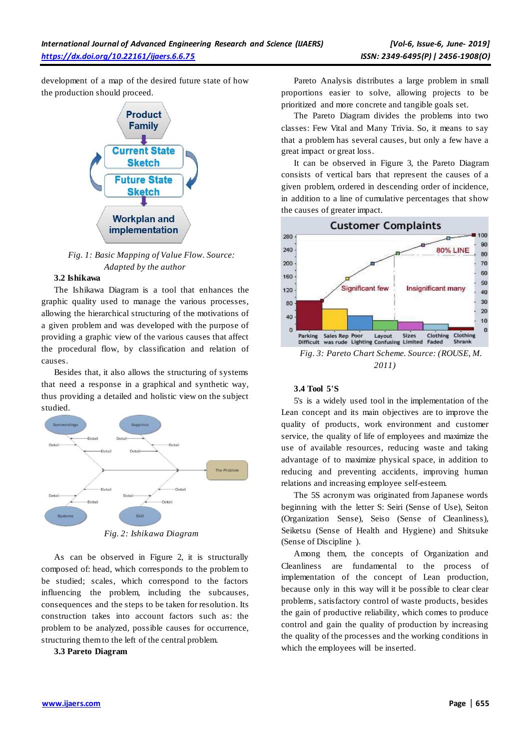development of a map of the desired future state of how the production should proceed.



*Fig. 1: Basic Mapping of Value Flow. Source: Adapted by the author*

# **3.2 Ishikawa**

The Ishikawa Diagram is a tool that enhances the graphic quality used to manage the various processes, allowing the hierarchical structuring of the motivations of a given problem and was developed with the purpose of providing a graphic view of the various causes that affect the procedural flow, by classification and relation of causes.

Besides that, it also allows the structuring of systems that need a response in a graphical and synthetic way, thus providing a detailed and holistic view on the subject studied.



*Fig. 2: Ishikawa Diagram*

As can be observed in Figure 2, it is structurally composed of: head, which corresponds to the problem to be studied; scales, which correspond to the factors influencing the problem, including the subcauses, consequences and the steps to be taken for resolution. Its construction takes into account factors such as: the problem to be analyzed, possible causes for occurrence, structuring them to the left of the central problem.

**3.3 Pareto Diagram**

Pareto Analysis distributes a large problem in small proportions easier to solve, allowing projects to be prioritized and more concrete and tangible goals set.

The Pareto Diagram divides the problems into two classes: Few Vital and Many Trivia. So, it means to say that a problem has several causes, but only a few have a great impact or great loss.

It can be observed in Figure 3, the Pareto Diagram consists of vertical bars that represent the causes of a given problem, ordered in descending order of incidence, in addition to a line of cumulative percentages that show the causes of greater impact.



#### **3.4 Tool 5'S**

5's is a widely used tool in the implementation of the Lean concept and its main objectives are to improve the quality of products, work environment and customer service, the quality of life of employees and maximize the use of available resources, reducing waste and taking advantage of to maximize physical space, in addition to reducing and preventing accidents, improving human relations and increasing employee self-esteem.

The 5S acronym was originated from Japanese words beginning with the letter S: Seiri (Sense of Use), Seiton (Organization Sense), Seiso (Sense of Cleanliness), Seiketsu (Sense of Health and Hygiene) and Shitsuke (Sense of Discipline ).

Among them, the concepts of Organization and Cleanliness are fundamental to the process of implementation of the concept of Lean production, because only in this way will it be possible to clear clear problems, satisfactory control of waste products, besides the gain of productive reliability, which comes to produce control and gain the quality of production by increasing the quality of the processes and the working conditions in which the employees will be inserted.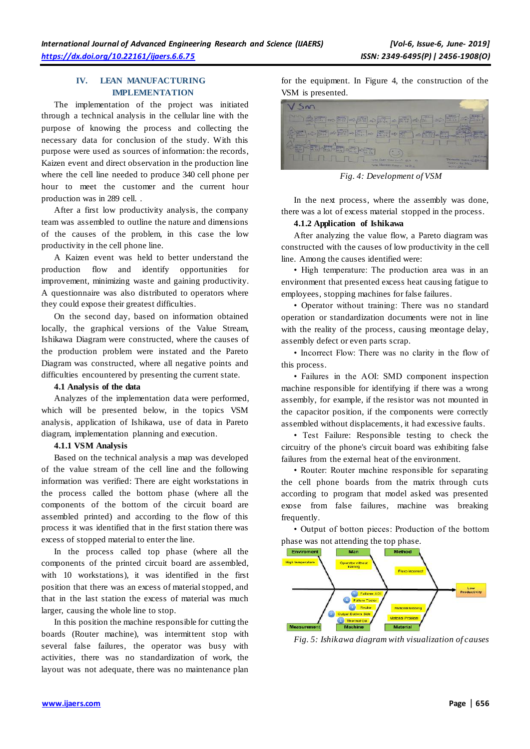# **IV. LEAN MANUFACTURING IMPLEMENTATION**

The implementation of the project was initiated through a technical analysis in the cellular line with the purpose of knowing the process and collecting the necessary data for conclusion of the study. With this purpose were used as sources of information: the records, Kaizen event and direct observation in the production line where the cell line needed to produce 340 cell phone per hour to meet the customer and the current hour production was in 289 cell. .

After a first low productivity analysis, the company team was assembled to outline the nature and dimensions of the causes of the problem, in this case the low productivity in the cell phone line.

A Kaizen event was held to better understand the production flow and identify opportunities for improvement, minimizing waste and gaining productivity. A questionnaire was also distributed to operators where they could expose their greatest difficulties.

On the second day, based on information obtained locally, the graphical versions of the Value Stream, Ishikawa Diagram were constructed, where the causes of the production problem were instated and the Pareto Diagram was constructed, where all negative points and difficulties encountered by presenting the current state.

#### **4.1 Analysis of the data**

Analyzes of the implementation data were performed, which will be presented below, in the topics VSM analysis, application of Ishikawa, use of data in Pareto diagram, implementation planning and execution.

# **4.1.1 VSM Analysis**

Based on the technical analysis a map was developed of the value stream of the cell line and the following information was verified: There are eight workstations in the process called the bottom phase (where all the components of the bottom of the circuit board are assembled printed) and according to the flow of this process it was identified that in the first station there was excess of stopped material to enter the line.

In the process called top phase (where all the components of the printed circuit board are assembled, with 10 workstations), it was identified in the first position that there was an excess of material stopped, and that in the last station the excess of material was much larger, causing the whole line to stop.

In this position the machine responsible for cutting the boards (Router machine), was intermittent stop with several false failures, the operator was busy with activities, there was no standardization of work, the layout was not adequate, there was no maintenance plan

for the equipment. In Figure 4, the construction of the VSM is presented.

| <b>NUP</b><br>$\frac{d\mathbf{r}}{d\mathbf{r}}$<br><b>All description of the second of the second second second second second second second second second second second second second second second second second second second second second second second second second second se</b><br>me -<br><b>All Cardio</b><br>22                          | 0.3777                                                                                       |
|-----------------------------------------------------------------------------------------------------------------------------------------------------------------------------------------------------------------------------------------------------------------------------------------------------------------------------------------------------|----------------------------------------------------------------------------------------------|
| $\mathbb{E}[\mathbb{E}[\infty] \rightarrow \mathbb{E}[\infty]$ as $\mathbb{E}[\infty] \rightarrow \mathbb{E}[\infty]$                                                                                                                                                                                                                               | m                                                                                            |
| $\begin{picture}(130,10) \put(0,0){\line(1,0){10}} \put(15,0){\line(1,0){10}} \put(15,0){\line(1,0){10}} \put(15,0){\line(1,0){10}} \put(15,0){\line(1,0){10}} \put(15,0){\line(1,0){10}} \put(15,0){\line(1,0){10}} \put(15,0){\line(1,0){10}} \put(15,0){\line(1,0){10}} \put(15,0){\line(1,0){10}} \put(15,0){\line(1,0){10}} \put(15,0){\line($ |                                                                                              |
| ES ( Last Time Land B.T.<br>$\rightarrow$<br>Toral Territori Core - NGC/L                                                                                                                                                                                                                                                                           | <b>JIM O.H.</b><br><b>Thursday South of EAST Press</b><br>TANY - 10 Shar<br><b>WITH DN W</b> |

*Fig. 4: Development of VSM*

In the next process, where the assembly was done, there was a lot of excess material stopped in the process.

# **4.1.2 Application of Ishikawa**

After analyzing the value flow, a Pareto diagram was constructed with the causes of low productivity in the cell line. Among the causes identified were:

• High temperature: The production area was in an environment that presented excess heat causing fatigue to employees, stopping machines for false failures.

• Operator without training: There was no standard operation or standardization documents were not in line with the reality of the process, causing meontage delay, assembly defect or even parts scrap.

• Incorrect Flow: There was no clarity in the flow of this process.

• Failures in the AOI: SMD component inspection machine responsible for identifying if there was a wrong assembly, for example, if the resistor was not mounted in the capacitor position, if the components were correctly assembled without displacements, it had excessive faults.

• Test Failure: Responsible testing to check the circuitry of the phone's circuit board was exhibiting false failures from the external heat of the environment.

• Router: Router machine responsible for separating the cell phone boards from the matrix through cuts according to program that model asked was presented exose from false failures, machine was breaking frequently.

• Output of botton pieces: Production of the bottom phase was not attending the top phase.



*Fig. 5: Ishikawa diagram with visualization of causes*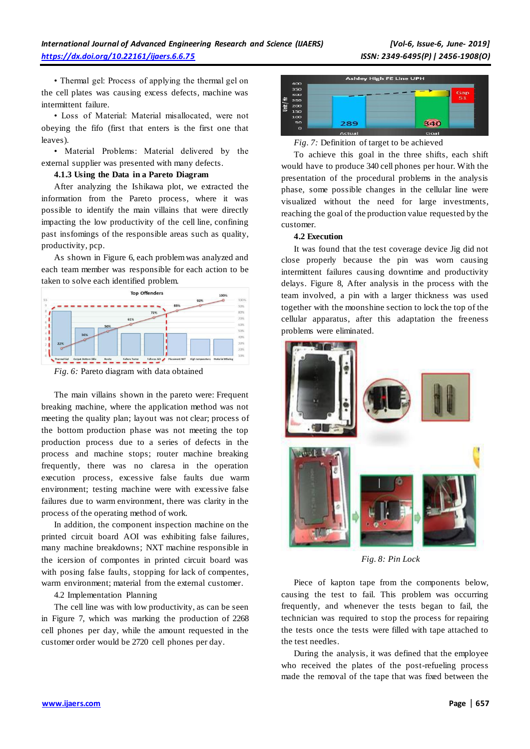• Thermal gel: Process of applying the thermal gel on the cell plates was causing excess defects, machine was intermittent failure.

• Loss of Material: Material misallocated, were not obeying the fifo (first that enters is the first one that leaves).

• Material Problems: Material delivered by the external supplier was presented with many defects.

#### **4.1.3 Using the Data in a Pareto Diagram**

After analyzing the Ishikawa plot, we extracted the information from the Pareto process, where it was possible to identify the main villains that were directly impacting the low productivity of the cell line, confining past insfomings of the responsible areas such as quality, productivity, pcp.

As shown in Figure 6, each problem was analyzed and each team member was responsible for each action to be taken to solve each identified problem.



*Fig. 6:* Pareto diagram with data obtained

The main villains shown in the pareto were: Frequent breaking machine, where the application method was not meeting the quality plan; layout was not clear; process of the bottom production phase was not meeting the top production process due to a series of defects in the process and machine stops; router machine breaking frequently, there was no claresa in the operation execution process, excessive false faults due warm environment; testing machine were with excessive false failures due to warm environment, there was clarity in the process of the operating method of work.

In addition, the component inspection machine on the printed circuit board AOI was exhibiting false failures, many machine breakdowns; NXT machine responsible in the icersion of compontes in printed circuit board was with posing false faults, stopping for lack of compentes, warm environment; material from the external customer.

4.2 Implementation Planning

The cell line was with low productivity, as can be seen in Figure 7, which was marking the production of 2268 cell phones per day, while the amount requested in the customer order would be 2720 cell phones per day.





To achieve this goal in the three shifts, each shift would have to produce 340 cell phones per hour. With the presentation of the procedural problems in the analysis phase, some possible changes in the cellular line were visualized without the need for large investments, reaching the goal of the production value requested by the customer.

# **4.2 Execution**

It was found that the test coverage device Jig did not close properly because the pin was worn causing intermittent failures causing downtime and productivity delays. Figure 8, After analysis in the process with the team involved, a pin with a larger thickness was used together with the moonshine section to lock the top of the cellular apparatus, after this adaptation the freeness problems were eliminated.



*Fig. 8: Pin Lock*

Piece of kapton tape from the components below, causing the test to fail. This problem was occurring frequently, and whenever the tests began to fail, the technician was required to stop the process for repairing the tests once the tests were filled with tape attached to the test needles.

During the analysis, it was defined that the employee who received the plates of the post-refueling process made the removal of the tape that was fixed between the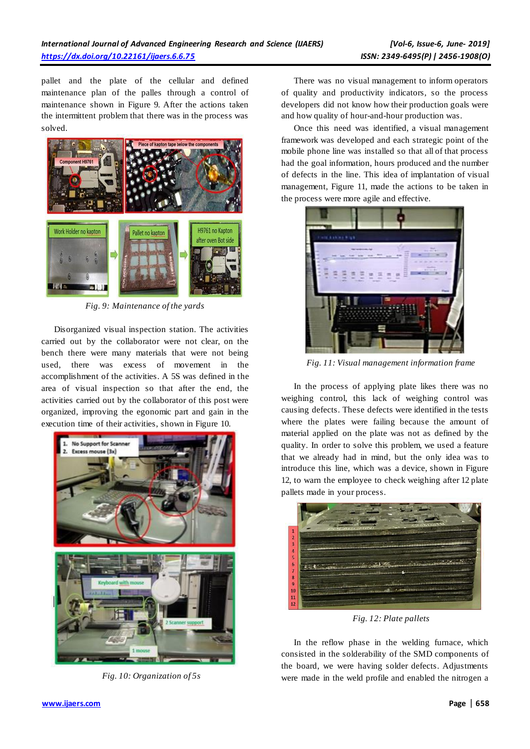pallet and the plate of the cellular and defined maintenance plan of the palles through a control of maintenance shown in Figure 9. After the actions taken the intermittent problem that there was in the process was solved.



*Fig. 9: Maintenance of the yards*

Disorganized visual inspection station. The activities carried out by the collaborator were not clear, on the bench there were many materials that were not being used, there was excess of movement in the accomplishment of the activities. A 5S was defined in the area of visual inspection so that after the end, the activities carried out by the collaborator of this post were organized, improving the egonomic part and gain in the execution time of their activities, shown in Figure 10.



*Fig. 10: Organization of 5s*

There was no visual management to inform operators of quality and productivity indicators, so the process developers did not know how their production goals were and how quality of hour-and-hour production was.

Once this need was identified, a visual management framework was developed and each strategic point of the mobile phone line was installed so that all of that process had the goal information, hours produced and the number of defects in the line. This idea of implantation of visual management, Figure 11, made the actions to be taken in the process were more agile and effective.



*Fig. 11: Visual management information frame*

In the process of applying plate likes there was no weighing control, this lack of weighing control was causing defects. These defects were identified in the tests where the plates were failing because the amount of material applied on the plate was not as defined by the quality. In order to solve this problem, we used a feature that we already had in mind, but the only idea was to introduce this line, which was a device, shown in Figure 12, to warn the employee to check weighing after 12 plate pallets made in your process.



*Fig. 12: Plate pallets*

In the reflow phase in the welding furnace, which consisted in the solderability of the SMD components of the board, we were having solder defects. Adjustments were made in the weld profile and enabled the nitrogen a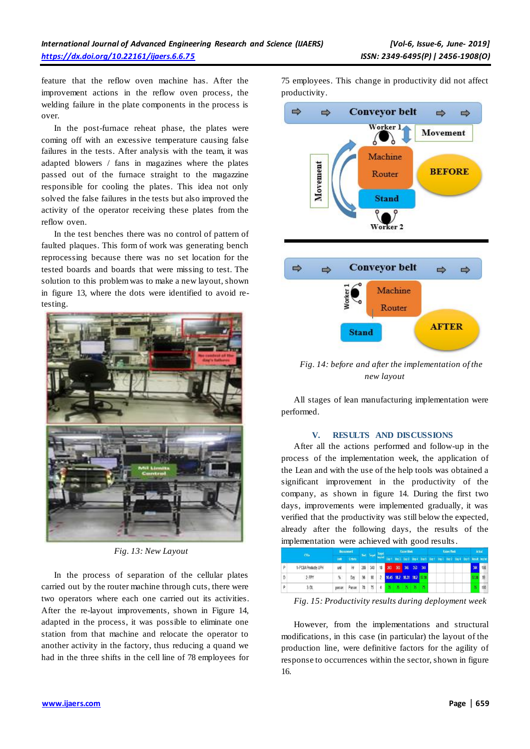feature that the reflow oven machine has. After the improvement actions in the reflow oven process, the welding failure in the plate components in the process is over.

In the post-furnace reheat phase, the plates were coming off with an excessive temperature causing false failures in the tests. After analysis with the team, it was adapted blowers / fans in magazines where the plates passed out of the furnace straight to the magazzine responsible for cooling the plates. This idea not only solved the false failures in the tests but also improved the activity of the operator receiving these plates from the reflow oven.

In the test benches there was no control of pattern of faulted plaques. This form of work was generating bench reprocessing because there was no set location for the tested boards and boards that were missing to test. The solution to this problem was to make a new layout, shown in figure 13, where the dots were identified to avoid retesting.



*Fig. 13: New Layout*

In the process of separation of the cellular plates carried out by the router machine through cuts, there were two operators where each one carried out its activities. After the re-layout improvements, shown in Figure 14, adapted in the process, it was possible to eliminate one station from that machine and relocate the operator to another activity in the factory, thus reducing a quand we had in the three shifts in the cell line of 78 employees for 75 employees. This change in productivity did not affect productivity.



*Fig. 14: before and after the implementation of the new layout*

All stages of lean manufacturing implementation were performed.

#### **V. RESULTS AND DISCUSSIONS**

After all the actions performed and follow-up in the process of the implementation week, the application of the Lean and with the use of the help tools was obtained a significant improvement in the productivity of the company, as shown in figure 14. During the first two days, improvements were implemented gradually, it was verified that the productivity was still below the expected, already after the following days, the results of the implementation were achieved with good results.

| CTOs: |                       | <b>Measurement</b> |                 |     |     | <b>Target</b> | Kaizen Week<br>Start Target languat Day 1 Day 2 Day 2 Day 3 Day 5 Day 1 Day 2 Day 2 Day 3 Day 4 Day 5 Result Implant |  |  |  | Kaizen rieek |  |  |  |  | Actual |     |     |
|-------|-----------------------|--------------------|-----------------|-----|-----|---------------|----------------------------------------------------------------------------------------------------------------------|--|--|--|--------------|--|--|--|--|--------|-----|-----|
|       |                       | <b>Hold</b>        | <b>Criteria</b> |     |     |               |                                                                                                                      |  |  |  |              |  |  |  |  |        |     |     |
| p     | 1- PCBA Productiv UPH | unit               | Hr              | 289 | 340 |               | 18 243 303 346 353 344                                                                                               |  |  |  |              |  |  |  |  |        | 344 | 108 |
|       | 2-FPY                 | %                  | Day             | 96  | 98  |               | 2 98.45 98.2 98.31 98.2 97.98                                                                                        |  |  |  |              |  |  |  |  |        |     | 99  |
|       | 3-DL                  | person             | Person          | 78  | 75  |               | 4 75 75 75 75                                                                                                        |  |  |  |              |  |  |  |  |        |     |     |

*Fig. 15: Productivity results during deployment week*

However, from the implementations and structural modifications, in this case (in particular) the layout of the production line, were definitive factors for the agility of response to occurrences within the sector, shown in figure 16.